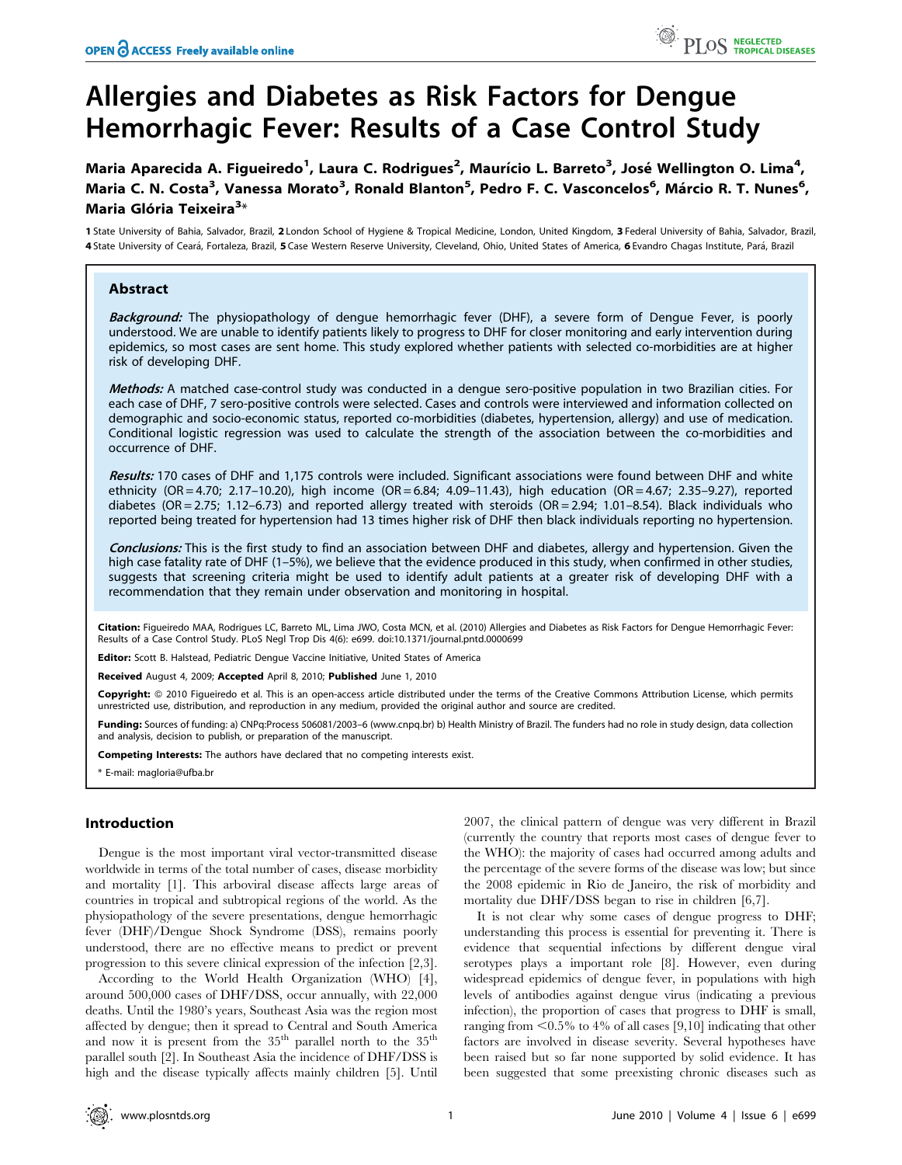# Allergies and Diabetes as Risk Factors for Dengue Hemorrhagic Fever: Results of a Case Control Study

Maria Aparecida A. Figueiredo<sup>1</sup>, Laura C. Rodrigues<sup>2</sup>, Maurício L. Barreto<sup>3</sup>, José Wellington O. Lima<sup>4</sup>, Maria C. N. Costa<sup>3</sup>, Vanessa Morato<sup>3</sup>, Ronald Blanton<sup>5</sup>, Pedro F. C. Vasconcelos<sup>6</sup>, Márcio R. T. Nunes<sup>6</sup>, Maria Glória Teixeira<sup>3</sup>\*

1 State University of Bahia, Salvador, Brazil, 2 London School of Hygiene & Tropical Medicine, London, United Kingdom, 3 Federal University of Bahia, Salvador, Brazil, 4 State University of Ceará, Fortaleza, Brazil, 5 Case Western Reserve University, Cleveland, Ohio, United States of America, 6 Evandro Chagas Institute, Pará, Brazil

# Abstract

Background: The physiopathology of dengue hemorrhagic fever (DHF), a severe form of Dengue Fever, is poorly understood. We are unable to identify patients likely to progress to DHF for closer monitoring and early intervention during epidemics, so most cases are sent home. This study explored whether patients with selected co-morbidities are at higher risk of developing DHF.

Methods: A matched case-control study was conducted in a dengue sero-positive population in two Brazilian cities. For each case of DHF, 7 sero-positive controls were selected. Cases and controls were interviewed and information collected on demographic and socio-economic status, reported co-morbidities (diabetes, hypertension, allergy) and use of medication. Conditional logistic regression was used to calculate the strength of the association between the co-morbidities and occurrence of DHF.

Results: 170 cases of DHF and 1,175 controls were included. Significant associations were found between DHF and white ethnicity (OR = 4.70; 2.17–10.20), high income (OR = 6.84; 4.09–11.43), high education (OR = 4.67; 2.35–9.27), reported diabetes (OR = 2.75; 1.12–6.73) and reported allergy treated with steroids (OR = 2.94; 1.01–8.54). Black individuals who reported being treated for hypertension had 13 times higher risk of DHF then black individuals reporting no hypertension.

Conclusions: This is the first study to find an association between DHF and diabetes, allergy and hypertension. Given the high case fatality rate of DHF (1-5%), we believe that the evidence produced in this study, when confirmed in other studies, suggests that screening criteria might be used to identify adult patients at a greater risk of developing DHF with a recommendation that they remain under observation and monitoring in hospital.

Citation: Figueiredo MAA, Rodrigues LC, Barreto ML, Lima JWO, Costa MCN, et al. (2010) Allergies and Diabetes as Risk Factors for Dengue Hemorrhagic Fever: Results of a Case Control Study. PLoS Negl Trop Dis 4(6): e699. doi:10.1371/journal.pntd.0000699

Editor: Scott B. Halstead, Pediatric Dengue Vaccine Initiative, United States of America

Received August 4, 2009; Accepted April 8, 2010; Published June 1, 2010

Copyright: © 2010 Figueiredo et al. This is an open-access article distributed under the terms of the Creative Commons Attribution License, which permits unrestricted use, distribution, and reproduction in any medium, provided the original author and source are credited.

Funding: Sources of funding: a) CNPq:Process 506081/2003-6 (www.cnpq.br) b) Health Ministry of Brazil. The funders had no role in study design, data collection and analysis, decision to publish, or preparation of the manuscript.

Competing Interests: The authors have declared that no competing interests exist.

## Introduction

Dengue is the most important viral vector-transmitted disease worldwide in terms of the total number of cases, disease morbidity and mortality [1]. This arboviral disease affects large areas of countries in tropical and subtropical regions of the world. As the physiopathology of the severe presentations, dengue hemorrhagic fever (DHF)/Dengue Shock Syndrome (DSS), remains poorly understood, there are no effective means to predict or prevent progression to this severe clinical expression of the infection [2,3].

According to the World Health Organization (WHO) [4], around 500,000 cases of DHF/DSS, occur annually, with 22,000 deaths. Until the 1980's years, Southeast Asia was the region most affected by dengue; then it spread to Central and South America and now it is present from the  $35<sup>th</sup>$  parallel north to the  $35<sup>th</sup>$ parallel south [2]. In Southeast Asia the incidence of DHF/DSS is high and the disease typically affects mainly children [5]. Until

2007, the clinical pattern of dengue was very different in Brazil (currently the country that reports most cases of dengue fever to the WHO): the majority of cases had occurred among adults and the percentage of the severe forms of the disease was low; but since the 2008 epidemic in Rio de Janeiro, the risk of morbidity and mortality due DHF/DSS began to rise in children [6,7].

It is not clear why some cases of dengue progress to DHF; understanding this process is essential for preventing it. There is evidence that sequential infections by different dengue viral serotypes plays a important role [8]. However, even during widespread epidemics of dengue fever, in populations with high levels of antibodies against dengue virus (indicating a previous infection), the proportion of cases that progress to DHF is small, ranging from  $< 0.5\%$  to 4% of all cases [9,10] indicating that other factors are involved in disease severity. Several hypotheses have been raised but so far none supported by solid evidence. It has been suggested that some preexisting chronic diseases such as

<sup>\*</sup> E-mail: magloria@ufba.br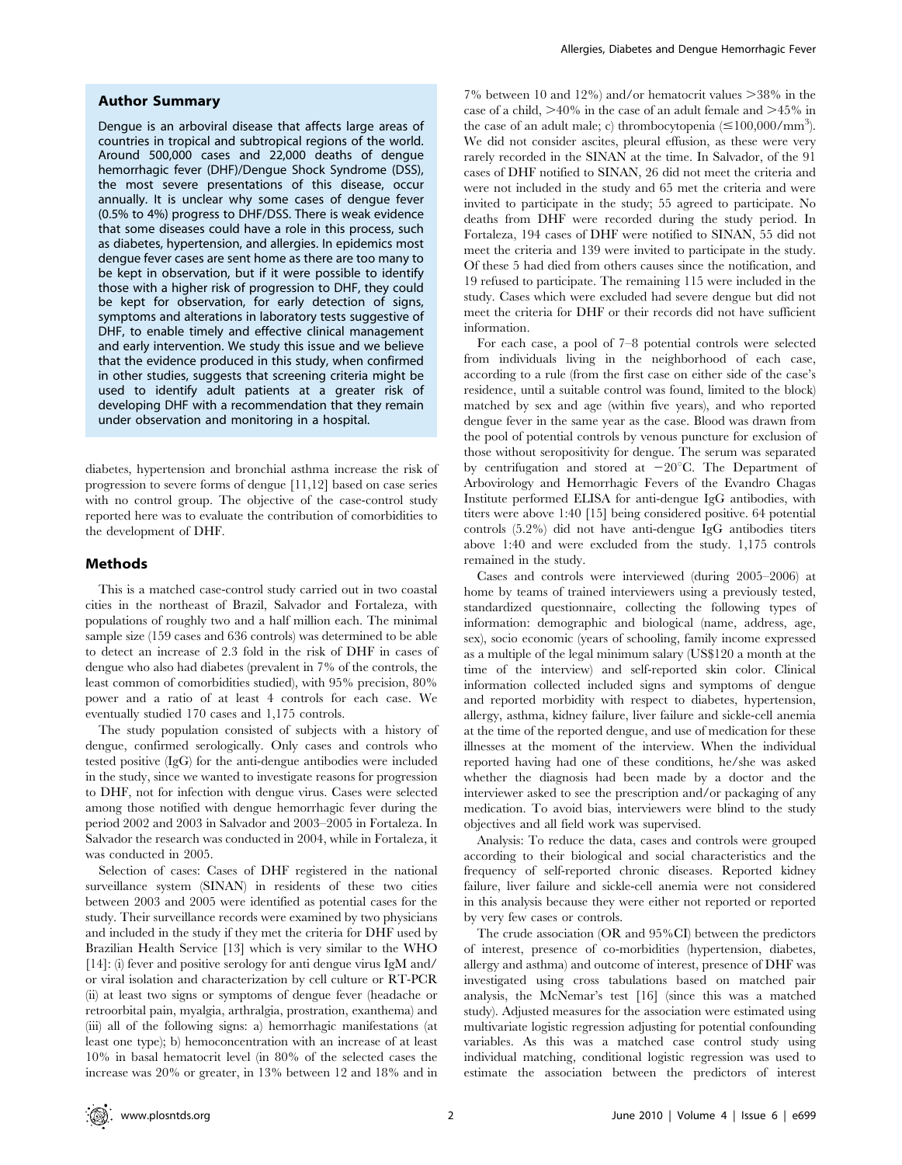## Author Summary

Dengue is an arboviral disease that affects large areas of countries in tropical and subtropical regions of the world. Around 500,000 cases and 22,000 deaths of dengue hemorrhagic fever (DHF)/Dengue Shock Syndrome (DSS), the most severe presentations of this disease, occur annually. It is unclear why some cases of dengue fever (0.5% to 4%) progress to DHF/DSS. There is weak evidence that some diseases could have a role in this process, such as diabetes, hypertension, and allergies. In epidemics most dengue fever cases are sent home as there are too many to be kept in observation, but if it were possible to identify those with a higher risk of progression to DHF, they could be kept for observation, for early detection of signs, symptoms and alterations in laboratory tests suggestive of DHF, to enable timely and effective clinical management and early intervention. We study this issue and we believe that the evidence produced in this study, when confirmed in other studies, suggests that screening criteria might be used to identify adult patients at a greater risk of developing DHF with a recommendation that they remain under observation and monitoring in a hospital.

diabetes, hypertension and bronchial asthma increase the risk of progression to severe forms of dengue [11,12] based on case series with no control group. The objective of the case-control study reported here was to evaluate the contribution of comorbidities to the development of DHF.

## Methods

This is a matched case-control study carried out in two coastal cities in the northeast of Brazil, Salvador and Fortaleza, with populations of roughly two and a half million each. The minimal sample size (159 cases and 636 controls) was determined to be able to detect an increase of 2.3 fold in the risk of DHF in cases of dengue who also had diabetes (prevalent in 7% of the controls, the least common of comorbidities studied), with 95% precision, 80% power and a ratio of at least 4 controls for each case. We eventually studied 170 cases and 1,175 controls.

The study population consisted of subjects with a history of dengue, confirmed serologically. Only cases and controls who tested positive (IgG) for the anti-dengue antibodies were included in the study, since we wanted to investigate reasons for progression to DHF, not for infection with dengue virus. Cases were selected among those notified with dengue hemorrhagic fever during the period 2002 and 2003 in Salvador and 2003–2005 in Fortaleza. In Salvador the research was conducted in 2004, while in Fortaleza, it was conducted in 2005.

Selection of cases: Cases of DHF registered in the national surveillance system (SINAN) in residents of these two cities between 2003 and 2005 were identified as potential cases for the study. Their surveillance records were examined by two physicians and included in the study if they met the criteria for DHF used by Brazilian Health Service [13] which is very similar to the WHO [14]: (i) fever and positive serology for anti dengue virus IgM and/ or viral isolation and characterization by cell culture or RT-PCR (ii) at least two signs or symptoms of dengue fever (headache or retroorbital pain, myalgia, arthralgia, prostration, exanthema) and (iii) all of the following signs: a) hemorrhagic manifestations (at least one type); b) hemoconcentration with an increase of at least 10% in basal hematocrit level (in 80% of the selected cases the increase was 20% or greater, in 13% between 12 and 18% and in

7% between 10 and 12%) and/or hematocrit values  $>$  38% in the case of a child,  $>40\%$  in the case of an adult female and  $>45\%$  in the case of an adult male; c) thrombocytopenia  $(\leq 100,000/\text{mm}^3)$ . We did not consider ascites, pleural effusion, as these were very rarely recorded in the SINAN at the time. In Salvador, of the 91 cases of DHF notified to SINAN, 26 did not meet the criteria and were not included in the study and 65 met the criteria and were invited to participate in the study; 55 agreed to participate. No deaths from DHF were recorded during the study period. In Fortaleza, 194 cases of DHF were notified to SINAN, 55 did not meet the criteria and 139 were invited to participate in the study. Of these 5 had died from others causes since the notification, and 19 refused to participate. The remaining 115 were included in the study. Cases which were excluded had severe dengue but did not meet the criteria for DHF or their records did not have sufficient information.

For each case, a pool of 7–8 potential controls were selected from individuals living in the neighborhood of each case, according to a rule (from the first case on either side of the case's residence, until a suitable control was found, limited to the block) matched by sex and age (within five years), and who reported dengue fever in the same year as the case. Blood was drawn from the pool of potential controls by venous puncture for exclusion of those without seropositivity for dengue. The serum was separated by centrifugation and stored at  $-20^{\circ}$ C. The Department of Arbovirology and Hemorrhagic Fevers of the Evandro Chagas Institute performed ELISA for anti-dengue IgG antibodies, with titers were above 1:40 [15] being considered positive. 64 potential controls (5.2%) did not have anti-dengue IgG antibodies titers above 1:40 and were excluded from the study. 1,175 controls remained in the study.

Cases and controls were interviewed (during 2005–2006) at home by teams of trained interviewers using a previously tested, standardized questionnaire, collecting the following types of information: demographic and biological (name, address, age, sex), socio economic (years of schooling, family income expressed as a multiple of the legal minimum salary (US\$120 a month at the time of the interview) and self-reported skin color. Clinical information collected included signs and symptoms of dengue and reported morbidity with respect to diabetes, hypertension, allergy, asthma, kidney failure, liver failure and sickle-cell anemia at the time of the reported dengue, and use of medication for these illnesses at the moment of the interview. When the individual reported having had one of these conditions, he/she was asked whether the diagnosis had been made by a doctor and the interviewer asked to see the prescription and/or packaging of any medication. To avoid bias, interviewers were blind to the study objectives and all field work was supervised.

Analysis: To reduce the data, cases and controls were grouped according to their biological and social characteristics and the frequency of self-reported chronic diseases. Reported kidney failure, liver failure and sickle-cell anemia were not considered in this analysis because they were either not reported or reported by very few cases or controls.

The crude association (OR and 95%CI) between the predictors of interest, presence of co-morbidities (hypertension, diabetes, allergy and asthma) and outcome of interest, presence of DHF was investigated using cross tabulations based on matched pair analysis, the McNemar's test [16] (since this was a matched study). Adjusted measures for the association were estimated using multivariate logistic regression adjusting for potential confounding variables. As this was a matched case control study using individual matching, conditional logistic regression was used to estimate the association between the predictors of interest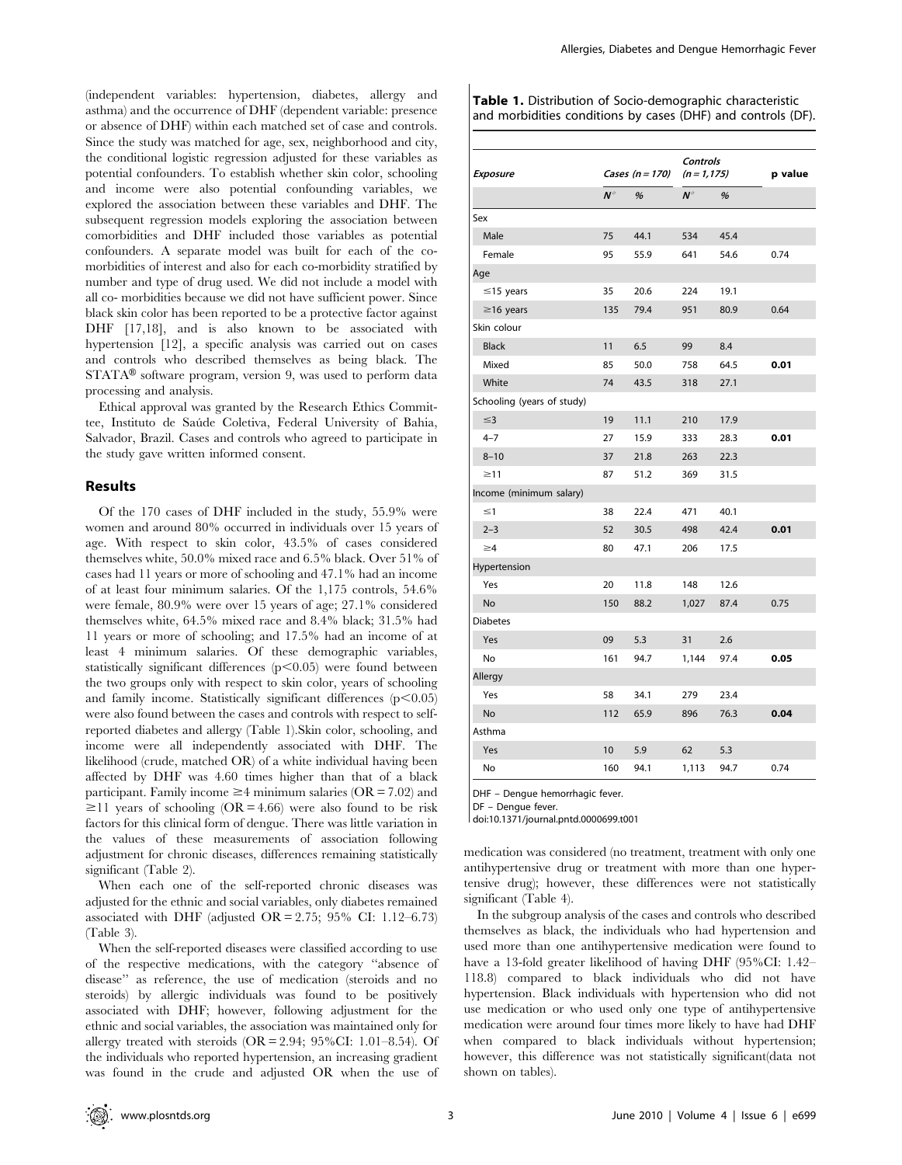(independent variables: hypertension, diabetes, allergy and asthma) and the occurrence of DHF (dependent variable: presence or absence of DHF) within each matched set of case and controls. Since the study was matched for age, sex, neighborhood and city, the conditional logistic regression adjusted for these variables as potential confounders. To establish whether skin color, schooling and income were also potential confounding variables, we explored the association between these variables and DHF. The subsequent regression models exploring the association between comorbidities and DHF included those variables as potential confounders. A separate model was built for each of the comorbidities of interest and also for each co-morbidity stratified by number and type of drug used. We did not include a model with all co- morbidities because we did not have sufficient power. Since black skin color has been reported to be a protective factor against DHF [17,18], and is also known to be associated with hypertension [12], a specific analysis was carried out on cases and controls who described themselves as being black. The  $STATA<sup>®</sup>$  software program, version 9, was used to perform data processing and analysis.

Ethical approval was granted by the Research Ethics Committee, Instituto de Saúde Coletiva, Federal University of Bahia, Salvador, Brazil. Cases and controls who agreed to participate in the study gave written informed consent.

## Results

Of the 170 cases of DHF included in the study, 55.9% were women and around 80% occurred in individuals over 15 years of age. With respect to skin color, 43.5% of cases considered themselves white, 50.0% mixed race and 6.5% black. Over 51% of cases had 11 years or more of schooling and 47.1% had an income of at least four minimum salaries. Of the 1,175 controls, 54.6% were female, 80.9% were over 15 years of age; 27.1% considered themselves white, 64.5% mixed race and 8.4% black; 31.5% had 11 years or more of schooling; and 17.5% had an income of at least 4 minimum salaries. Of these demographic variables, statistically significant differences  $(p<0.05)$  were found between the two groups only with respect to skin color, years of schooling and family income. Statistically significant differences  $(p<0.05)$ were also found between the cases and controls with respect to selfreported diabetes and allergy (Table 1).Skin color, schooling, and income were all independently associated with DHF. The likelihood (crude, matched OR) of a white individual having been affected by DHF was 4.60 times higher than that of a black participant. Family income  $\geq$ 4 minimum salaries (OR = 7.02) and  $\geq$ 11 years of schooling (OR = 4.66) were also found to be risk factors for this clinical form of dengue. There was little variation in the values of these measurements of association following adjustment for chronic diseases, differences remaining statistically significant (Table 2).

When each one of the self-reported chronic diseases was adjusted for the ethnic and social variables, only diabetes remained associated with DHF (adjusted OR = 2.75; 95% CI: 1.12–6.73) (Table 3).

When the self-reported diseases were classified according to use of the respective medications, with the category ''absence of disease'' as reference, the use of medication (steroids and no steroids) by allergic individuals was found to be positively associated with DHF; however, following adjustment for the ethnic and social variables, the association was maintained only for allergy treated with steroids  $(OR = 2.94; 95\% CI: 1.01-8.54)$ . Of the individuals who reported hypertension, an increasing gradient was found in the crude and adjusted OR when the use of Table 1. Distribution of Socio-demographic characteristic and morbidities conditions by cases (DHF) and controls (DF).

|                            | <i>Cases (n = 170)</i> |      | Controls<br>$(n = 1, 175)$ |      |         |  |
|----------------------------|------------------------|------|----------------------------|------|---------|--|
| <b>Exposure</b>            |                        |      |                            |      | p value |  |
|                            | $N^{\circ}$            | %    | $N^{\circ}$                | %    |         |  |
| Sex                        |                        |      |                            |      |         |  |
| Male                       | 75                     | 44.1 | 534                        | 45.4 |         |  |
| Female                     | 95                     | 55.9 | 641                        | 54.6 | 0.74    |  |
| Age                        |                        |      |                            |      |         |  |
| $\leq$ 15 years            | 35                     | 20.6 | 224                        | 19.1 |         |  |
| $\geq$ 16 years            | 135                    | 79.4 | 951                        | 80.9 | 0.64    |  |
| Skin colour                |                        |      |                            |      |         |  |
| <b>Black</b>               | 11                     | 6.5  | 99                         | 8.4  |         |  |
| Mixed                      | 85                     | 50.0 | 758                        | 64.5 | 0.01    |  |
| White                      | 74                     | 43.5 | 318                        | 27.1 |         |  |
| Schooling (years of study) |                        |      |                            |      |         |  |
| $\leq$ 3                   | 19                     | 11.1 | 210                        | 17.9 |         |  |
| $4 - 7$                    | 27                     | 15.9 | 333                        | 28.3 | 0.01    |  |
| $8 - 10$                   | 37                     | 21.8 | 263                        | 22.3 |         |  |
| $\geq$ 11                  | 87                     | 51.2 | 369                        | 31.5 |         |  |
| Income (minimum salary)    |                        |      |                            |      |         |  |
| $\leq$ 1                   | 38                     | 22.4 | 471                        | 40.1 |         |  |
| $2 - 3$                    | 52                     | 30.5 | 498                        | 42.4 | 0.01    |  |
| $\geq 4$                   | 80                     | 47.1 | 206                        | 17.5 |         |  |
| Hypertension               |                        |      |                            |      |         |  |
| Yes                        | 20                     | 11.8 | 148                        | 12.6 |         |  |
| <b>No</b>                  | 150                    | 88.2 | 1,027                      | 87.4 | 0.75    |  |
| <b>Diabetes</b>            |                        |      |                            |      |         |  |
| Yes                        | 09                     | 5.3  | 31                         | 2.6  |         |  |
| No                         | 161                    | 94.7 | 1,144                      | 97.4 | 0.05    |  |
| Allergy                    |                        |      |                            |      |         |  |
| Yes                        | 58                     | 34.1 | 279                        | 23.4 |         |  |
| <b>No</b>                  | 112                    | 65.9 | 896                        | 76.3 | 0.04    |  |
| Asthma                     |                        |      |                            |      |         |  |
| Yes                        | 10                     | 5.9  | 62                         | 5.3  |         |  |
| No                         | 160                    | 94.1 | 1,113                      | 94.7 | 0.74    |  |

DHF – Dengue hemorrhagic fever.

DF – Dengue fever.

doi:10.1371/journal.pntd.0000699.t001

medication was considered (no treatment, treatment with only one antihypertensive drug or treatment with more than one hypertensive drug); however, these differences were not statistically significant (Table 4).

In the subgroup analysis of the cases and controls who described themselves as black, the individuals who had hypertension and used more than one antihypertensive medication were found to have a 13-fold greater likelihood of having DHF (95%CI: 1.42– 118.8) compared to black individuals who did not have hypertension. Black individuals with hypertension who did not use medication or who used only one type of antihypertensive medication were around four times more likely to have had DHF when compared to black individuals without hypertension; however, this difference was not statistically significant (data not shown on tables).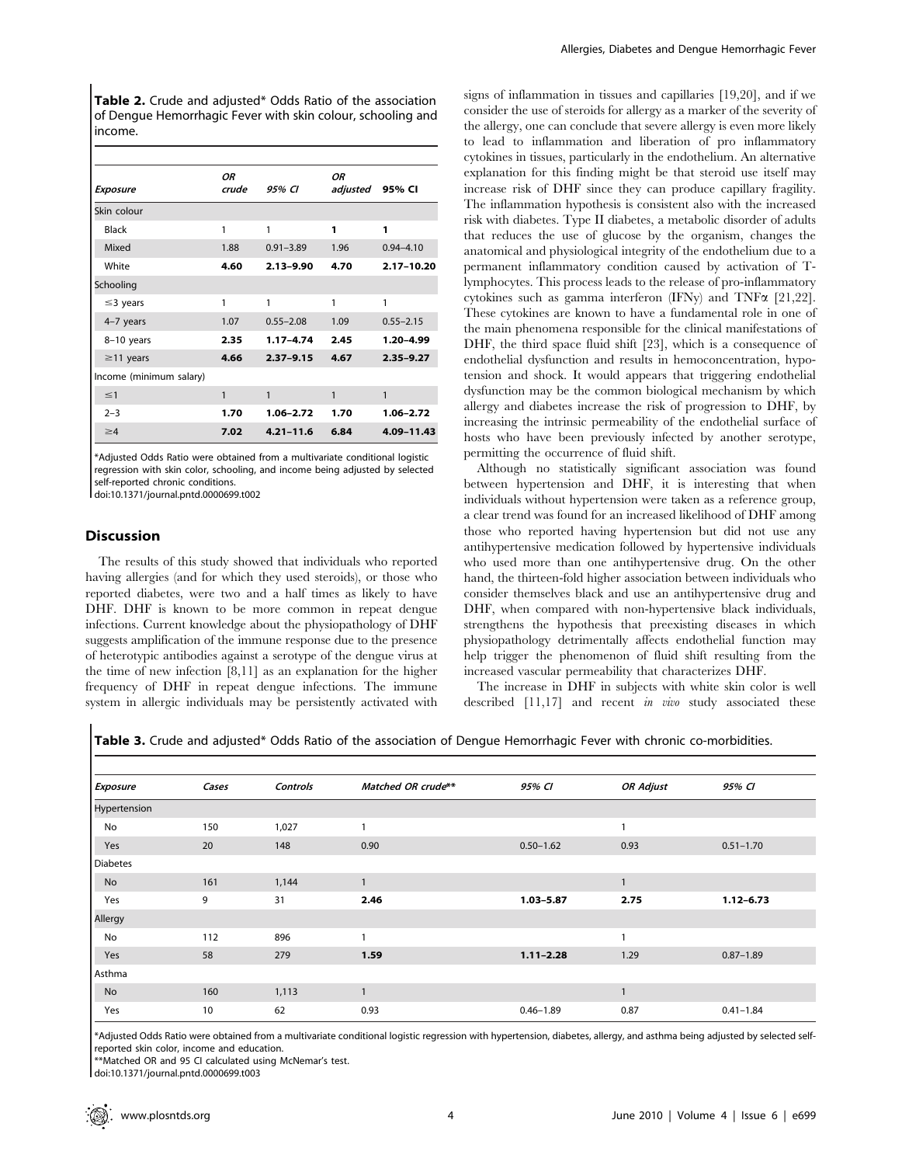Table 2. Crude and adjusted\* Odds Ratio of the association of Dengue Hemorrhagic Fever with skin colour, schooling and income.

| <b>Exposure</b>         | ΟR<br>crude | 95% CI        | OR<br>adjusted 95% CI |               |
|-------------------------|-------------|---------------|-----------------------|---------------|
| Skin colour             |             |               |                       |               |
| Black                   | 1           | 1             | 1                     | 1             |
| Mixed                   | 1.88        | $0.91 - 3.89$ | 1.96                  | $0.94 - 4.10$ |
| White                   | 4.60        | $2.13 - 9.90$ | 4.70                  | 2.17-10.20    |
| Schooling               |             |               |                       |               |
| $\leq$ 3 years          | 1           | 1             | 1                     | 1             |
| 4-7 years               | 1.07        | $0.55 - 2.08$ | 1.09                  | $0.55 - 2.15$ |
| 8-10 years              | 2.35        | $1.17 - 4.74$ | 2.45                  | 1.20-4.99     |
| $\geq$ 11 years         | 4.66        | $2.37 - 9.15$ | 4.67                  | $2.35 - 9.27$ |
| Income (minimum salary) |             |               |                       |               |
| $\leq$ 1                | 1           | $\mathbf{1}$  | $\mathbf{1}$          | $\mathbf{1}$  |
| $2 - 3$                 | 1.70        | $1.06 - 2.72$ | 1.70                  | $1.06 - 2.72$ |
| $\geq 4$                | 7.02        | $4.21 - 11.6$ | 6.84                  | 4.09-11.43    |

\*Adjusted Odds Ratio were obtained from a multivariate conditional logistic regression with skin color, schooling, and income being adjusted by selected self-reported chronic conditions.

doi:10.1371/journal.pntd.0000699.t002

# Discussion

The results of this study showed that individuals who reported having allergies (and for which they used steroids), or those who reported diabetes, were two and a half times as likely to have DHF. DHF is known to be more common in repeat dengue infections. Current knowledge about the physiopathology of DHF suggests amplification of the immune response due to the presence of heterotypic antibodies against a serotype of the dengue virus at the time of new infection [8,11] as an explanation for the higher frequency of DHF in repeat dengue infections. The immune system in allergic individuals may be persistently activated with

signs of inflammation in tissues and capillaries [19,20], and if we consider the use of steroids for allergy as a marker of the severity of the allergy, one can conclude that severe allergy is even more likely to lead to inflammation and liberation of pro inflammatory cytokines in tissues, particularly in the endothelium. An alternative explanation for this finding might be that steroid use itself may increase risk of DHF since they can produce capillary fragility. The inflammation hypothesis is consistent also with the increased risk with diabetes. Type II diabetes, a metabolic disorder of adults that reduces the use of glucose by the organism, changes the anatomical and physiological integrity of the endothelium due to a permanent inflammatory condition caused by activation of Tlymphocytes. This process leads to the release of pro-inflammatory cytokines such as gamma interferon (IFNy) and TNF $\alpha$  [21,22]. These cytokines are known to have a fundamental role in one of the main phenomena responsible for the clinical manifestations of DHF, the third space fluid shift [23], which is a consequence of endothelial dysfunction and results in hemoconcentration, hypotension and shock. It would appears that triggering endothelial dysfunction may be the common biological mechanism by which allergy and diabetes increase the risk of progression to DHF, by increasing the intrinsic permeability of the endothelial surface of hosts who have been previously infected by another serotype, permitting the occurrence of fluid shift.

Although no statistically significant association was found between hypertension and DHF, it is interesting that when individuals without hypertension were taken as a reference group, a clear trend was found for an increased likelihood of DHF among those who reported having hypertension but did not use any antihypertensive medication followed by hypertensive individuals who used more than one antihypertensive drug. On the other hand, the thirteen-fold higher association between individuals who consider themselves black and use an antihypertensive drug and DHF, when compared with non-hypertensive black individuals, strengthens the hypothesis that preexisting diseases in which physiopathology detrimentally affects endothelial function may help trigger the phenomenon of fluid shift resulting from the increased vascular permeability that characterizes DHF.

The increase in DHF in subjects with white skin color is well described [11,17] and recent *in vivo* study associated these

Table 3. Crude and adjusted\* Odds Ratio of the association of Dengue Hemorrhagic Fever with chronic co-morbidities.

| Exposure        | Cases | Controls | Matched OR crude** | 95% CI        | <b>OR Adjust</b> | 95% CI        |
|-----------------|-------|----------|--------------------|---------------|------------------|---------------|
| Hypertension    |       |          |                    |               |                  |               |
| No              | 150   | 1,027    | $\mathbf{1}$       |               |                  |               |
| Yes             | 20    | 148      | 0.90               | $0.50 - 1.62$ | 0.93             | $0.51 - 1.70$ |
| <b>Diabetes</b> |       |          |                    |               |                  |               |
| No              | 161   | 1,144    | $\mathbf{1}$       |               |                  |               |
| Yes             | 9     | 31       | 2.46               | $1.03 - 5.87$ | 2.75             | $1.12 - 6.73$ |
| Allergy         |       |          |                    |               |                  |               |
| No              | 112   | 896      | $\mathbf{1}$       |               | 1                |               |
| Yes             | 58    | 279      | 1.59               | $1.11 - 2.28$ | 1.29             | $0.87 - 1.89$ |
| Asthma          |       |          |                    |               |                  |               |
| No              | 160   | 1,113    | $\mathbf{1}$       |               |                  |               |
| Yes             | 10    | 62       | 0.93               | $0.46 - 1.89$ | 0.87             | $0.41 - 1.84$ |

\*Adjusted Odds Ratio were obtained from a multivariate conditional logistic regression with hypertension, diabetes, allergy, and asthma being adjusted by selected selfreported skin color, income and education.

\*\*Matched OR and 95 CI calculated using McNemar's test.

doi:10.1371/journal.pntd.0000699.t003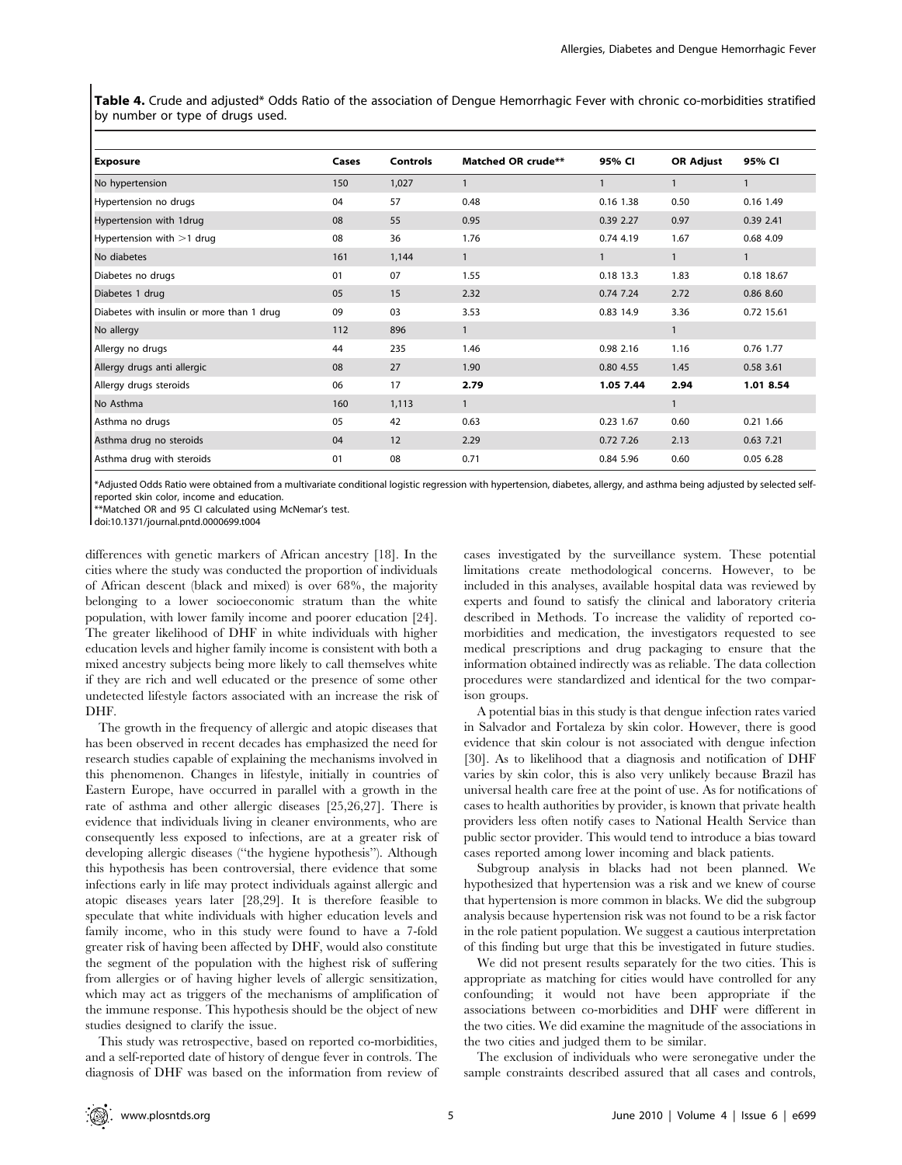Table 4. Crude and adjusted\* Odds Ratio of the association of Dengue Hemorrhagic Fever with chronic co-morbidities stratified by number or type of drugs used.

| <b>Exposure</b>                           | Cases | <b>Controls</b> | <b>Matched OR crude**</b> | 95% CI       | <b>OR Adjust</b> | 95% CI       |
|-------------------------------------------|-------|-----------------|---------------------------|--------------|------------------|--------------|
| No hypertension                           | 150   | 1,027           | $\mathbf{1}$              | $\mathbf{1}$ |                  | $\mathbf{1}$ |
| Hypertension no drugs                     | 04    | 57              | 0.48                      | 0.16 1.38    | 0.50             | 0.16 1.49    |
| Hypertension with 1drug                   | 08    | 55              | 0.95                      | 0.39 2.27    | 0.97             | 0.39 2.41    |
| Hypertension with >1 drug                 | 08    | 36              | 1.76                      | 0.74 4.19    | 1.67             | 0.68 4.09    |
| No diabetes                               | 161   | 1,144           | $\mathbf{1}$              | $\mathbf{1}$ | $\mathbf{1}$     | $\mathbf{1}$ |
| Diabetes no drugs                         | 01    | 07              | 1.55                      | 0.18 13.3    | 1.83             | 0.18 18.67   |
| Diabetes 1 drug                           | 05    | 15              | 2.32                      | 0.74 7.24    | 2.72             | 0.86 8.60    |
| Diabetes with insulin or more than 1 drug | 09    | 03              | 3.53                      | 0.83 14.9    | 3.36             | 0.72 15.61   |
| No allergy                                | 112   | 896             | $\mathbf{1}$              |              |                  |              |
| Allergy no drugs                          | 44    | 235             | 1.46                      | 0.98 2.16    | 1.16             | 0.76 1.77    |
| Allergy drugs anti allergic               | 08    | 27              | 1.90                      | 0.80 4.55    | 1.45             | 0.58 3.61    |
| Allergy drugs steroids                    | 06    | 17              | 2.79                      | 1.05 7.44    | 2.94             | 1.01 8.54    |
| No Asthma                                 | 160   | 1,113           | $\mathbf{1}$              |              | $\mathbf{1}$     |              |
| Asthma no drugs                           | 05    | 42              | 0.63                      | 0.23 1.67    | 0.60             | 0.21 1.66    |
| Asthma drug no steroids                   | 04    | 12              | 2.29                      | 0.72 7.26    | 2.13             | 0.63 7.21    |
| Asthma drug with steroids                 | 01    | 08              | 0.71                      | 0.84 5.96    | 0.60             | 0.056.28     |

\*Adjusted Odds Ratio were obtained from a multivariate conditional logistic regression with hypertension, diabetes, allergy, and asthma being adjusted by selected selfreported skin color, income and education.

\*\*Matched OR and 95 CI calculated using McNemar's test.

doi:10.1371/journal.pntd.0000699.t004

differences with genetic markers of African ancestry [18]. In the cities where the study was conducted the proportion of individuals of African descent (black and mixed) is over 68%, the majority belonging to a lower socioeconomic stratum than the white population, with lower family income and poorer education [24]. The greater likelihood of DHF in white individuals with higher education levels and higher family income is consistent with both a mixed ancestry subjects being more likely to call themselves white if they are rich and well educated or the presence of some other undetected lifestyle factors associated with an increase the risk of DHF.

The growth in the frequency of allergic and atopic diseases that has been observed in recent decades has emphasized the need for research studies capable of explaining the mechanisms involved in this phenomenon. Changes in lifestyle, initially in countries of Eastern Europe, have occurred in parallel with a growth in the rate of asthma and other allergic diseases [25,26,27]. There is evidence that individuals living in cleaner environments, who are consequently less exposed to infections, are at a greater risk of developing allergic diseases (''the hygiene hypothesis''). Although this hypothesis has been controversial, there evidence that some infections early in life may protect individuals against allergic and atopic diseases years later [28,29]. It is therefore feasible to speculate that white individuals with higher education levels and family income, who in this study were found to have a 7-fold greater risk of having been affected by DHF, would also constitute the segment of the population with the highest risk of suffering from allergies or of having higher levels of allergic sensitization, which may act as triggers of the mechanisms of amplification of the immune response. This hypothesis should be the object of new studies designed to clarify the issue.

This study was retrospective, based on reported co-morbidities, and a self-reported date of history of dengue fever in controls. The diagnosis of DHF was based on the information from review of cases investigated by the surveillance system. These potential limitations create methodological concerns. However, to be included in this analyses, available hospital data was reviewed by experts and found to satisfy the clinical and laboratory criteria described in Methods. To increase the validity of reported comorbidities and medication, the investigators requested to see medical prescriptions and drug packaging to ensure that the information obtained indirectly was as reliable. The data collection procedures were standardized and identical for the two comparison groups.

A potential bias in this study is that dengue infection rates varied in Salvador and Fortaleza by skin color. However, there is good evidence that skin colour is not associated with dengue infection [30]. As to likelihood that a diagnosis and notification of DHF varies by skin color, this is also very unlikely because Brazil has universal health care free at the point of use. As for notifications of cases to health authorities by provider, is known that private health providers less often notify cases to National Health Service than public sector provider. This would tend to introduce a bias toward cases reported among lower incoming and black patients.

Subgroup analysis in blacks had not been planned. We hypothesized that hypertension was a risk and we knew of course that hypertension is more common in blacks. We did the subgroup analysis because hypertension risk was not found to be a risk factor in the role patient population. We suggest a cautious interpretation of this finding but urge that this be investigated in future studies.

We did not present results separately for the two cities. This is appropriate as matching for cities would have controlled for any confounding; it would not have been appropriate if the associations between co-morbidities and DHF were different in the two cities. We did examine the magnitude of the associations in the two cities and judged them to be similar.

The exclusion of individuals who were seronegative under the sample constraints described assured that all cases and controls,